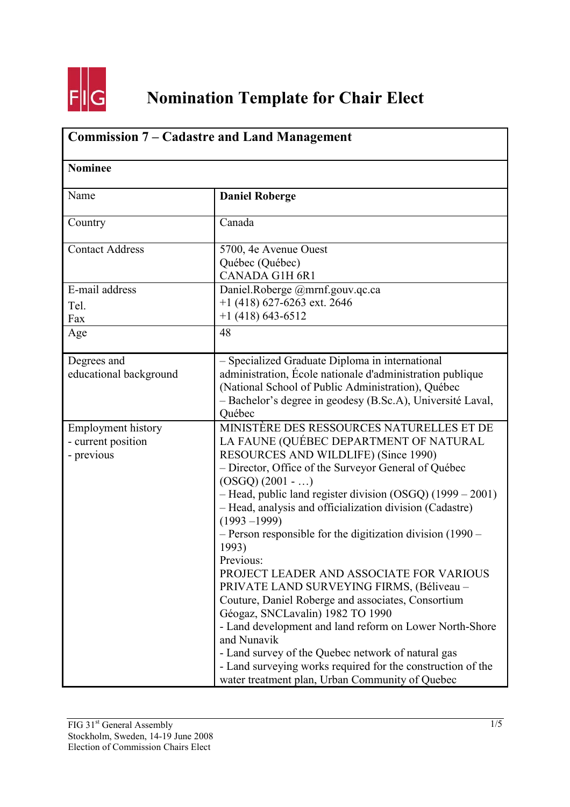

## **Nomination Template for Chair Elect**

| <b>Commission 7 – Cadastre and Land Management</b><br><b>Nominee</b> |                                                                                                                                                                                                                                                                                                                                                                                                                                                                                                                                                                                                                                                                                                                                                                                                                                                                                     |  |
|----------------------------------------------------------------------|-------------------------------------------------------------------------------------------------------------------------------------------------------------------------------------------------------------------------------------------------------------------------------------------------------------------------------------------------------------------------------------------------------------------------------------------------------------------------------------------------------------------------------------------------------------------------------------------------------------------------------------------------------------------------------------------------------------------------------------------------------------------------------------------------------------------------------------------------------------------------------------|--|
|                                                                      |                                                                                                                                                                                                                                                                                                                                                                                                                                                                                                                                                                                                                                                                                                                                                                                                                                                                                     |  |
| Country                                                              | Canada                                                                                                                                                                                                                                                                                                                                                                                                                                                                                                                                                                                                                                                                                                                                                                                                                                                                              |  |
| <b>Contact Address</b>                                               | 5700, 4e Avenue Ouest<br>Québec (Québec)<br><b>CANADA G1H 6R1</b>                                                                                                                                                                                                                                                                                                                                                                                                                                                                                                                                                                                                                                                                                                                                                                                                                   |  |
| E-mail address<br>Tel.<br>Fax                                        | Daniel.Roberge @mrnf.gouv.qc.ca<br>$+1$ (418) 627-6263 ext. 2646<br>$+1$ (418) 643-6512                                                                                                                                                                                                                                                                                                                                                                                                                                                                                                                                                                                                                                                                                                                                                                                             |  |
| Age                                                                  | 48                                                                                                                                                                                                                                                                                                                                                                                                                                                                                                                                                                                                                                                                                                                                                                                                                                                                                  |  |
| Degrees and<br>educational background                                | - Specialized Graduate Diploma in international<br>administration, École nationale d'administration publique<br>(National School of Public Administration), Québec<br>- Bachelor's degree in geodesy (B.Sc.A), Université Laval,<br>Québec                                                                                                                                                                                                                                                                                                                                                                                                                                                                                                                                                                                                                                          |  |
| <b>Employment history</b><br>- current position<br>- previous        | MINISTÈRE DES RESSOURCES NATURELLES ET DE<br>LA FAUNE (QUÉBEC DEPARTMENT OF NATURAL<br>RESOURCES AND WILDLIFE) (Since 1990)<br>- Director, Office of the Surveyor General of Québec<br>$(OSGQ) (2001 - )$<br>- Head, public land register division (OSGQ) (1999 - 2001)<br>- Head, analysis and officialization division (Cadastre)<br>$(1993 - 1999)$<br>$-$ Person responsible for the digitization division (1990 $-$<br>1993)<br>Previous:<br>PROJECT LEADER AND ASSOCIATE FOR VARIOUS<br>PRIVATE LAND SURVEYING FIRMS, (Béliveau -<br>Couture, Daniel Roberge and associates, Consortium<br>Géogaz, SNCLavalin) 1982 TO 1990<br>- Land development and land reform on Lower North-Shore<br>and Nunavik<br>- Land survey of the Quebec network of natural gas<br>- Land surveying works required for the construction of the<br>water treatment plan, Urban Community of Quebec |  |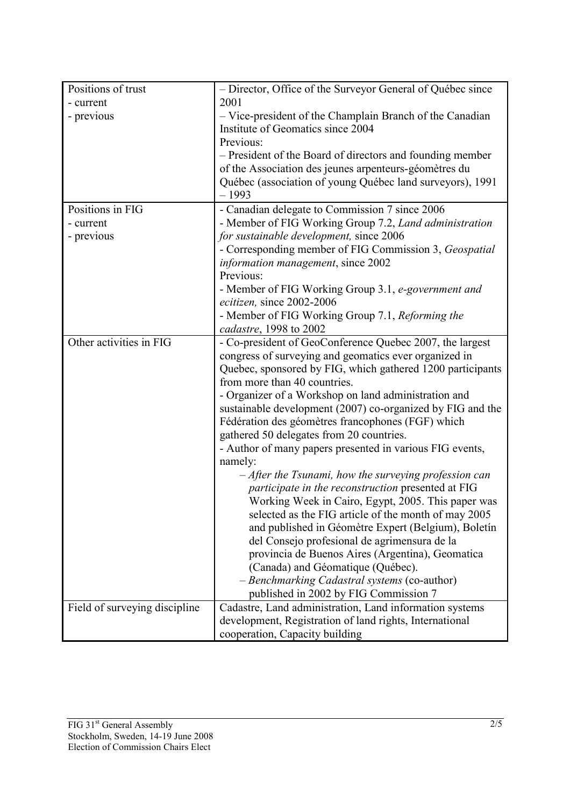| Positions of trust            | - Director, Office of the Surveyor General of Québec since                       |
|-------------------------------|----------------------------------------------------------------------------------|
| - current                     | 2001                                                                             |
| - previous                    | - Vice-president of the Champlain Branch of the Canadian                         |
|                               | Institute of Geomatics since 2004                                                |
|                               | Previous:                                                                        |
|                               | - President of the Board of directors and founding member                        |
|                               | of the Association des jeunes arpenteurs-géomètres du                            |
|                               | Québec (association of young Québec land surveyors), 1991                        |
|                               | $-1993$                                                                          |
| Positions in FIG              | - Canadian delegate to Commission 7 since 2006                                   |
| - current                     | - Member of FIG Working Group 7.2, Land administration                           |
| - previous                    | for sustainable development, since 2006                                          |
|                               | - Corresponding member of FIG Commission 3, Geospatial                           |
|                               | <i>information management</i> , since 2002<br>Previous:                          |
|                               |                                                                                  |
|                               | - Member of FIG Working Group 3.1, e-government and<br>ecitizen, since 2002-2006 |
|                               | - Member of FIG Working Group 7.1, Reforming the                                 |
|                               | cadastre, 1998 to 2002                                                           |
| Other activities in FIG       | - Co-president of GeoConference Quebec 2007, the largest                         |
|                               | congress of surveying and geomatics ever organized in                            |
|                               | Quebec, sponsored by FIG, which gathered 1200 participants                       |
|                               | from more than 40 countries.                                                     |
|                               | - Organizer of a Workshop on land administration and                             |
|                               | sustainable development (2007) co-organized by FIG and the                       |
|                               | Fédération des géomètres francophones (FGF) which                                |
|                               | gathered 50 delegates from 20 countries.                                         |
|                               | - Author of many papers presented in various FIG events,                         |
|                               | namely:                                                                          |
|                               | $-A$ fter the Tsunami, how the surveying profession can                          |
|                               | participate in the reconstruction presented at FIG                               |
|                               | Working Week in Cairo, Egypt, 2005. This paper was                               |
|                               | selected as the FIG article of the month of may 2005                             |
|                               | and published in Géomètre Expert (Belgium), Boletín                              |
|                               | del Consejo profesional de agrimensura de la                                     |
|                               | provincia de Buenos Aires (Argentina), Geomatica                                 |
|                               | (Canada) and Géomatique (Québec).                                                |
|                               | - Benchmarking Cadastral systems (co-author)                                     |
|                               | published in 2002 by FIG Commission 7                                            |
| Field of surveying discipline | Cadastre, Land administration, Land information systems                          |
|                               | development, Registration of land rights, International                          |
|                               | cooperation, Capacity building                                                   |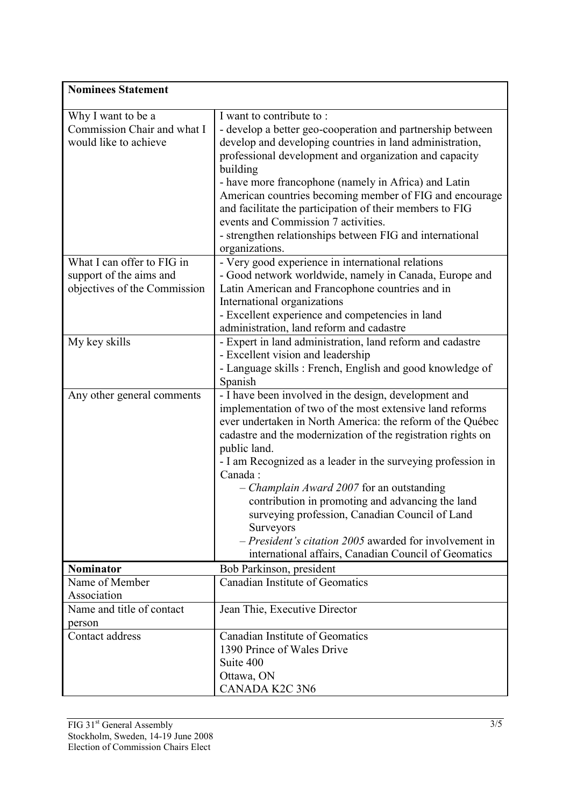| <b>Nominees Statement</b>    |                                                                                                                            |  |
|------------------------------|----------------------------------------------------------------------------------------------------------------------------|--|
| Why I want to be a           | I want to contribute to:                                                                                                   |  |
| Commission Chair and what I  | - develop a better geo-cooperation and partnership between                                                                 |  |
| would like to achieve        | develop and developing countries in land administration,                                                                   |  |
|                              | professional development and organization and capacity                                                                     |  |
|                              | building                                                                                                                   |  |
|                              | - have more francophone (namely in Africa) and Latin<br>American countries becoming member of FIG and encourage            |  |
|                              | and facilitate the participation of their members to FIG                                                                   |  |
|                              | events and Commission 7 activities.                                                                                        |  |
|                              | - strengthen relationships between FIG and international                                                                   |  |
|                              | organizations.                                                                                                             |  |
| What I can offer to FIG in   | - Very good experience in international relations                                                                          |  |
| support of the aims and      | - Good network worldwide, namely in Canada, Europe and                                                                     |  |
| objectives of the Commission | Latin American and Francophone countries and in                                                                            |  |
|                              | International organizations<br>- Excellent experience and competencies in land                                             |  |
|                              | administration, land reform and cadastre                                                                                   |  |
| My key skills                | - Expert in land administration, land reform and cadastre                                                                  |  |
|                              | - Excellent vision and leadership                                                                                          |  |
|                              | - Language skills: French, English and good knowledge of                                                                   |  |
|                              | Spanish                                                                                                                    |  |
| Any other general comments   | - I have been involved in the design, development and                                                                      |  |
|                              | implementation of two of the most extensive land reforms                                                                   |  |
|                              | ever undertaken in North America: the reform of the Québec<br>cadastre and the modernization of the registration rights on |  |
|                              | public land.                                                                                                               |  |
|                              | - I am Recognized as a leader in the surveying profession in                                                               |  |
|                              | Canada:                                                                                                                    |  |
|                              | $-$ <i>Champlain Award 2007</i> for an outstanding                                                                         |  |
|                              | contribution in promoting and advancing the land                                                                           |  |
|                              | surveying profession, Canadian Council of Land                                                                             |  |
|                              | Surveyors                                                                                                                  |  |
|                              | - President's citation 2005 awarded for involvement in                                                                     |  |
| <b>Nominator</b>             | international affairs, Canadian Council of Geomatics<br>Bob Parkinson, president                                           |  |
| Name of Member               | Canadian Institute of Geomatics                                                                                            |  |
| Association                  |                                                                                                                            |  |
| Name and title of contact    | Jean Thie, Executive Director                                                                                              |  |
| person                       |                                                                                                                            |  |
| Contact address              | Canadian Institute of Geomatics                                                                                            |  |
|                              | 1390 Prince of Wales Drive                                                                                                 |  |
|                              | Suite 400                                                                                                                  |  |
|                              | Ottawa, ON                                                                                                                 |  |
|                              | CANADA K2C 3N6                                                                                                             |  |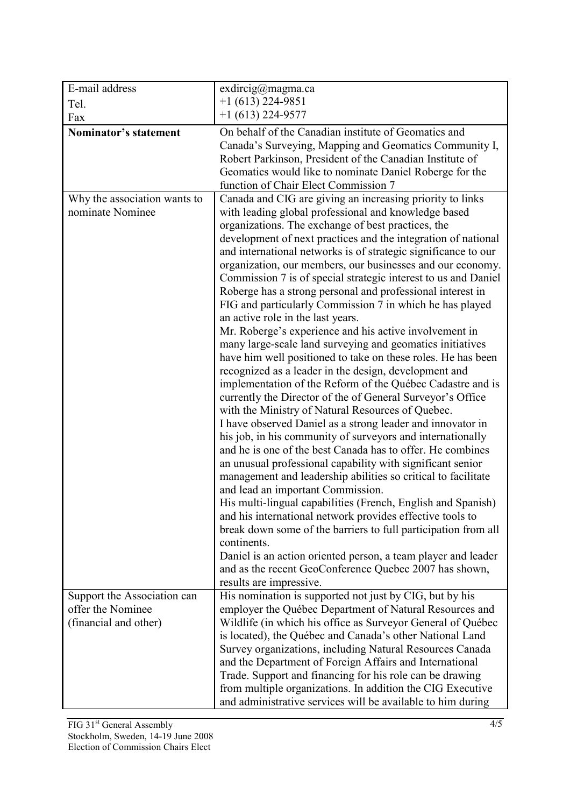| E-mail address                                   | exdircig@magma.ca                                                                                                                                                                                                                                                                                                                                                                                                                                                                                                                                                                                                                                                                                                                                                                                                                                                                                                                                                                                                                                                                                                                                                                                                                                                                                                                                                                                                                                                                                                                                                                                                                                                                                                                                                            |
|--------------------------------------------------|------------------------------------------------------------------------------------------------------------------------------------------------------------------------------------------------------------------------------------------------------------------------------------------------------------------------------------------------------------------------------------------------------------------------------------------------------------------------------------------------------------------------------------------------------------------------------------------------------------------------------------------------------------------------------------------------------------------------------------------------------------------------------------------------------------------------------------------------------------------------------------------------------------------------------------------------------------------------------------------------------------------------------------------------------------------------------------------------------------------------------------------------------------------------------------------------------------------------------------------------------------------------------------------------------------------------------------------------------------------------------------------------------------------------------------------------------------------------------------------------------------------------------------------------------------------------------------------------------------------------------------------------------------------------------------------------------------------------------------------------------------------------------|
| Tel.                                             | $+1$ (613) 224-9851                                                                                                                                                                                                                                                                                                                                                                                                                                                                                                                                                                                                                                                                                                                                                                                                                                                                                                                                                                                                                                                                                                                                                                                                                                                                                                                                                                                                                                                                                                                                                                                                                                                                                                                                                          |
| Fax                                              | $+1(613)$ 224-9577                                                                                                                                                                                                                                                                                                                                                                                                                                                                                                                                                                                                                                                                                                                                                                                                                                                                                                                                                                                                                                                                                                                                                                                                                                                                                                                                                                                                                                                                                                                                                                                                                                                                                                                                                           |
| Nominator's statement                            | On behalf of the Canadian institute of Geomatics and<br>Canada's Surveying, Mapping and Geomatics Community I,<br>Robert Parkinson, President of the Canadian Institute of<br>Geomatics would like to nominate Daniel Roberge for the<br>function of Chair Elect Commission 7                                                                                                                                                                                                                                                                                                                                                                                                                                                                                                                                                                                                                                                                                                                                                                                                                                                                                                                                                                                                                                                                                                                                                                                                                                                                                                                                                                                                                                                                                                |
| Why the association wants to<br>nominate Nominee | Canada and CIG are giving an increasing priority to links<br>with leading global professional and knowledge based<br>organizations. The exchange of best practices, the<br>development of next practices and the integration of national<br>and international networks is of strategic significance to our<br>organization, our members, our businesses and our economy.<br>Commission 7 is of special strategic interest to us and Daniel<br>Roberge has a strong personal and professional interest in<br>FIG and particularly Commission 7 in which he has played<br>an active role in the last years.<br>Mr. Roberge's experience and his active involvement in<br>many large-scale land surveying and geomatics initiatives<br>have him well positioned to take on these roles. He has been<br>recognized as a leader in the design, development and<br>implementation of the Reform of the Québec Cadastre and is<br>currently the Director of the of General Surveyor's Office<br>with the Ministry of Natural Resources of Quebec.<br>I have observed Daniel as a strong leader and innovator in<br>his job, in his community of surveyors and internationally<br>and he is one of the best Canada has to offer. He combines<br>an unusual professional capability with significant senior<br>management and leadership abilities so critical to facilitate<br>and lead an important Commission.<br>His multi-lingual capabilities (French, English and Spanish)<br>and his international network provides effective tools to<br>break down some of the barriers to full participation from all<br>continents.<br>Daniel is an action oriented person, a team player and leader<br>and as the recent GeoConference Quebec 2007 has shown,<br>results are impressive. |
| Support the Association can                      | His nomination is supported not just by CIG, but by his                                                                                                                                                                                                                                                                                                                                                                                                                                                                                                                                                                                                                                                                                                                                                                                                                                                                                                                                                                                                                                                                                                                                                                                                                                                                                                                                                                                                                                                                                                                                                                                                                                                                                                                      |
| offer the Nominee                                | employer the Québec Department of Natural Resources and                                                                                                                                                                                                                                                                                                                                                                                                                                                                                                                                                                                                                                                                                                                                                                                                                                                                                                                                                                                                                                                                                                                                                                                                                                                                                                                                                                                                                                                                                                                                                                                                                                                                                                                      |
| (financial and other)                            | Wildlife (in which his office as Surveyor General of Québec                                                                                                                                                                                                                                                                                                                                                                                                                                                                                                                                                                                                                                                                                                                                                                                                                                                                                                                                                                                                                                                                                                                                                                                                                                                                                                                                                                                                                                                                                                                                                                                                                                                                                                                  |
|                                                  | is located), the Québec and Canada's other National Land                                                                                                                                                                                                                                                                                                                                                                                                                                                                                                                                                                                                                                                                                                                                                                                                                                                                                                                                                                                                                                                                                                                                                                                                                                                                                                                                                                                                                                                                                                                                                                                                                                                                                                                     |
|                                                  | Survey organizations, including Natural Resources Canada                                                                                                                                                                                                                                                                                                                                                                                                                                                                                                                                                                                                                                                                                                                                                                                                                                                                                                                                                                                                                                                                                                                                                                                                                                                                                                                                                                                                                                                                                                                                                                                                                                                                                                                     |
|                                                  | and the Department of Foreign Affairs and International                                                                                                                                                                                                                                                                                                                                                                                                                                                                                                                                                                                                                                                                                                                                                                                                                                                                                                                                                                                                                                                                                                                                                                                                                                                                                                                                                                                                                                                                                                                                                                                                                                                                                                                      |
|                                                  | Trade. Support and financing for his role can be drawing                                                                                                                                                                                                                                                                                                                                                                                                                                                                                                                                                                                                                                                                                                                                                                                                                                                                                                                                                                                                                                                                                                                                                                                                                                                                                                                                                                                                                                                                                                                                                                                                                                                                                                                     |
|                                                  | from multiple organizations. In addition the CIG Executive                                                                                                                                                                                                                                                                                                                                                                                                                                                                                                                                                                                                                                                                                                                                                                                                                                                                                                                                                                                                                                                                                                                                                                                                                                                                                                                                                                                                                                                                                                                                                                                                                                                                                                                   |
|                                                  | and administrative services will be available to him during                                                                                                                                                                                                                                                                                                                                                                                                                                                                                                                                                                                                                                                                                                                                                                                                                                                                                                                                                                                                                                                                                                                                                                                                                                                                                                                                                                                                                                                                                                                                                                                                                                                                                                                  |